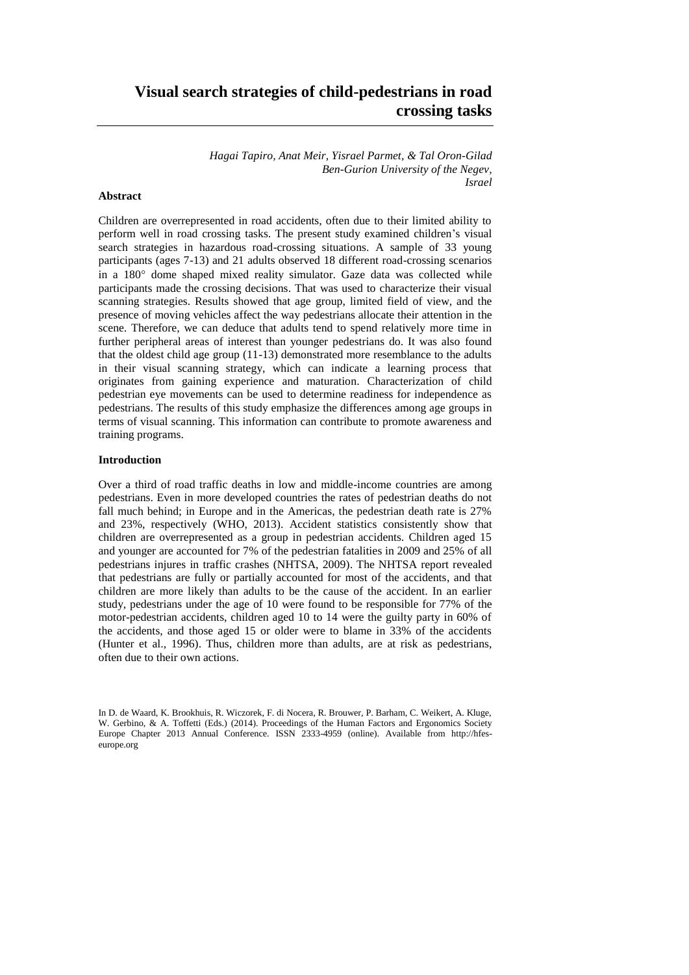# **Visual search strategies of child-pedestrians in road crossing tasks**

*Hagai Tapiro, Anat Meir, Yisrael Parmet, & Tal Oron-Gilad Ben-Gurion University of the Negev, Israel* 

# **Abstract**

Children are overrepresented in road accidents, often due to their limited ability to perform well in road crossing tasks. The present study examined children's visual search strategies in hazardous road-crossing situations. A sample of 33 young participants (ages 7-13) and 21 adults observed 18 different road-crossing scenarios in a 180° dome shaped mixed reality simulator. Gaze data was collected while participants made the crossing decisions. That was used to characterize their visual scanning strategies. Results showed that age group, limited field of view, and the presence of moving vehicles affect the way pedestrians allocate their attention in the scene. Therefore, we can deduce that adults tend to spend relatively more time in further peripheral areas of interest than younger pedestrians do. It was also found that the oldest child age group (11-13) demonstrated more resemblance to the adults in their visual scanning strategy, which can indicate a learning process that originates from gaining experience and maturation. Characterization of child pedestrian eye movements can be used to determine readiness for independence as pedestrians. The results of this study emphasize the differences among age groups in terms of visual scanning. This information can contribute to promote awareness and training programs.

### **Introduction**

Over a third of road traffic deaths in low and middle-income countries are among pedestrians. Even in more developed countries the rates of pedestrian deaths do not fall much behind; in Europe and in the Americas, the pedestrian death rate is 27% and 23%, respectively (WHO, 2013). Accident statistics consistently show that children are overrepresented as a group in pedestrian accidents. Children aged 15 and younger are accounted for 7% of the pedestrian fatalities in 2009 and 25% of all pedestrians injures in traffic crashes (NHTSA, 2009). The NHTSA report revealed that pedestrians are fully or partially accounted for most of the accidents, and that children are more likely than adults to be the cause of the accident. In an earlier study, pedestrians under the age of 10 were found to be responsible for 77% of the motor-pedestrian accidents, children aged 10 to 14 were the guilty party in 60% of the accidents, and those aged 15 or older were to blame in 33% of the accidents (Hunter et al., 1996). Thus, children more than adults, are at risk as pedestrians, often due to their own actions.

In D. de Waard, K. Brookhuis, R. Wiczorek, F. di Nocera, R. Brouwer, P. Barham, C. Weikert, A. Kluge, W. Gerbino, & A. Toffetti (Eds.) (2014). Proceedings of the Human Factors and Ergonomics Society Europe Chapter 2013 Annual Conference. ISSN 2333-4959 (online). Available from http://hfeseurope.org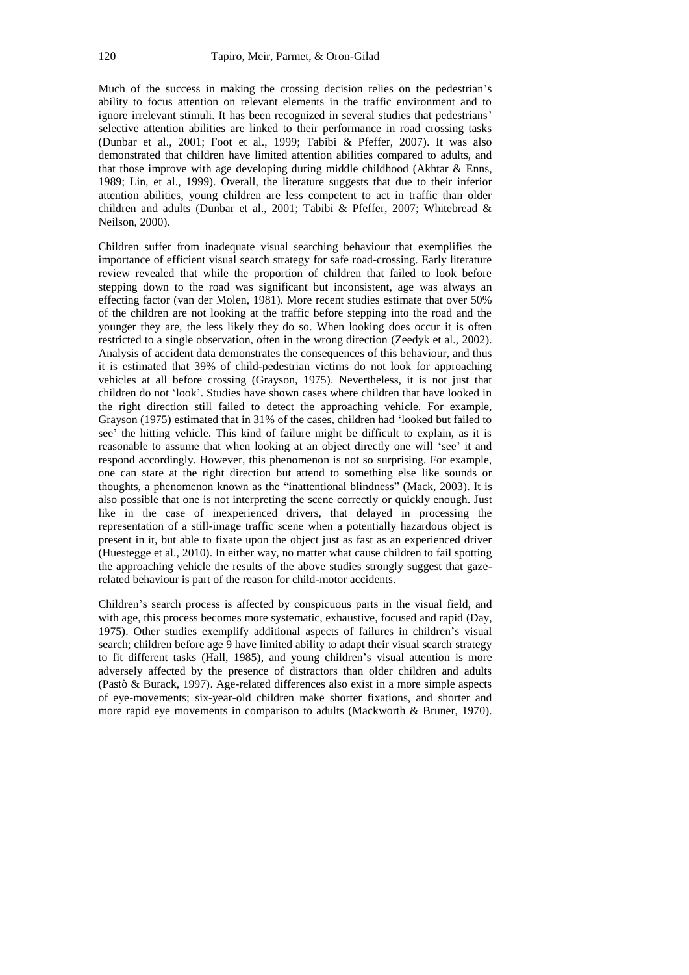Much of the success in making the crossing decision relies on the pedestrian's ability to focus attention on relevant elements in the traffic environment and to ignore irrelevant stimuli. It has been recognized in several studies that pedestrians' selective attention abilities are linked to their performance in road crossing tasks (Dunbar et al., 2001; Foot et al., 1999; Tabibi & Pfeffer, 2007). It was also demonstrated that children have limited attention abilities compared to adults, and that those improve with age developing during middle childhood (Akhtar & Enns, 1989; Lin, et al., 1999). Overall, the literature suggests that due to their inferior attention abilities, young children are less competent to act in traffic than older children and adults (Dunbar et al., 2001; Tabibi & Pfeffer, 2007; Whitebread & Neilson, 2000).

Children suffer from inadequate visual searching behaviour that exemplifies the importance of efficient visual search strategy for safe road-crossing. Early literature review revealed that while the proportion of children that failed to look before stepping down to the road was significant but inconsistent, age was always an effecting factor (van der Molen, 1981). More recent studies estimate that over 50% of the children are not looking at the traffic before stepping into the road and the younger they are, the less likely they do so. When looking does occur it is often restricted to a single observation, often in the wrong direction (Zeedyk et al., 2002). Analysis of accident data demonstrates the consequences of this behaviour, and thus it is estimated that 39% of child-pedestrian victims do not look for approaching vehicles at all before crossing (Grayson, 1975). Nevertheless, it is not just that children do not 'look'. Studies have shown cases where children that have looked in the right direction still failed to detect the approaching vehicle. For example, Grayson (1975) estimated that in 31% of the cases, children had 'looked but failed to see' the hitting vehicle. This kind of failure might be difficult to explain, as it is reasonable to assume that when looking at an object directly one will 'see' it and respond accordingly. However, this phenomenon is not so surprising. For example, one can stare at the right direction but attend to something else like sounds or thoughts, a phenomenon known as the "inattentional blindness" (Mack, 2003). It is also possible that one is not interpreting the scene correctly or quickly enough. Just like in the case of inexperienced drivers, that delayed in processing the representation of a still-image traffic scene when a potentially hazardous object is present in it, but able to fixate upon the object just as fast as an experienced driver (Huestegge et al., 2010). In either way, no matter what cause children to fail spotting the approaching vehicle the results of the above studies strongly suggest that gazerelated behaviour is part of the reason for child-motor accidents.

Children's search process is affected by conspicuous parts in the visual field, and with age, this process becomes more systematic, exhaustive, focused and rapid (Day, 1975). Other studies exemplify additional aspects of failures in children's visual search; children before age 9 have limited ability to adapt their visual search strategy to fit different tasks (Hall, 1985), and young children's visual attention is more adversely affected by the presence of distractors than older children and adults (Pastò & Burack, 1997). Age-related differences also exist in a more simple aspects of eye-movements; six-year-old children make shorter fixations, and shorter and more rapid eye movements in comparison to adults (Mackworth & Bruner, 1970).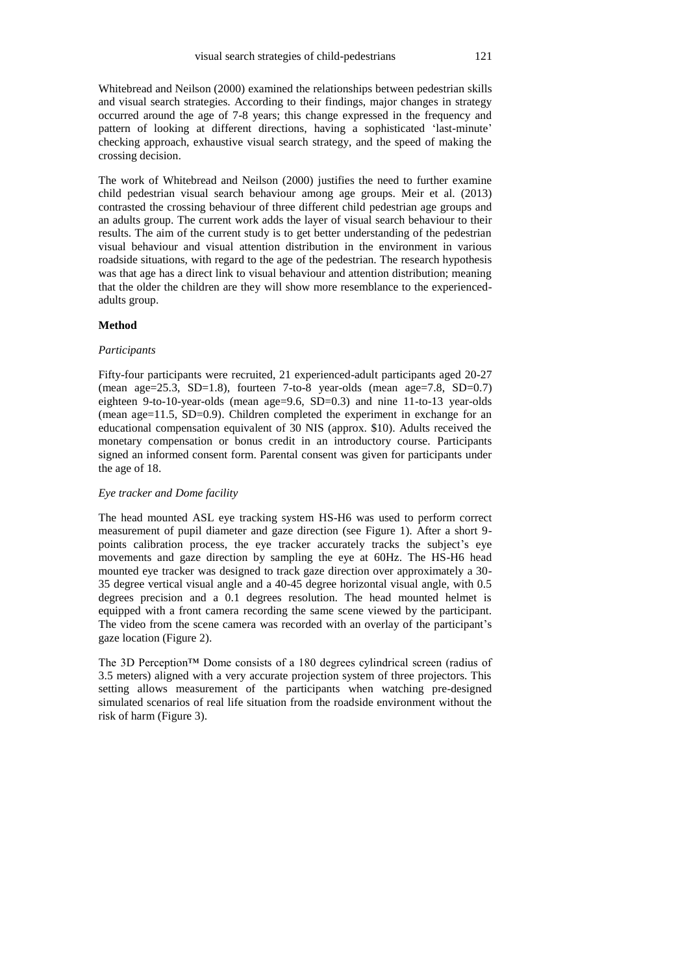Whitebread and Neilson (2000) examined the relationships between pedestrian skills and visual search strategies. According to their findings, major changes in strategy occurred around the age of 7-8 years; this change expressed in the frequency and pattern of looking at different directions, having a sophisticated 'last-minute' checking approach, exhaustive visual search strategy, and the speed of making the crossing decision.

The work of Whitebread and Neilson (2000) justifies the need to further examine child pedestrian visual search behaviour among age groups. Meir et al. (2013) contrasted the crossing behaviour of three different child pedestrian age groups and an adults group. The current work adds the layer of visual search behaviour to their results. The aim of the current study is to get better understanding of the pedestrian visual behaviour and visual attention distribution in the environment in various roadside situations, with regard to the age of the pedestrian. The research hypothesis was that age has a direct link to visual behaviour and attention distribution; meaning that the older the children are they will show more resemblance to the experiencedadults group.

## **Method**

### *Participants*

Fifty-four participants were recruited, 21 experienced-adult participants aged 20-27 (mean age=25.3, SD=1.8), fourteen 7-to-8 year-olds (mean age=7.8, SD=0.7) eighteen 9-to-10-year-olds (mean age=9.6, SD=0.3) and nine 11-to-13 year-olds (mean age=11.5, SD=0.9). Children completed the experiment in exchange for an educational compensation equivalent of 30 NIS (approx. \$10). Adults received the monetary compensation or bonus credit in an introductory course. Participants signed an informed consent form. Parental consent was given for participants under the age of 18.

### *Eye tracker and Dome facility*

The head mounted ASL eye tracking system HS-H6 was used to perform correct measurement of pupil diameter and gaze direction (see Figure 1). After a short 9 points calibration process, the eye tracker accurately tracks the subject's eye movements and gaze direction by sampling the eye at 60Hz. The HS-H6 head mounted eye tracker was designed to track gaze direction over approximately a 30- 35 degree vertical visual angle and a 40-45 degree horizontal visual angle, with 0.5 degrees precision and a 0.1 degrees resolution. The head mounted helmet is equipped with a front camera recording the same scene viewed by the participant. The video from the scene camera was recorded with an overlay of the participant's gaze location (Figure 2).

The 3D Perception™ Dome consists of a 180 degrees cylindrical screen (radius of 3.5 meters) aligned with a very accurate projection system of three projectors. This setting allows measurement of the participants when watching pre-designed simulated scenarios of real life situation from the roadside environment without the risk of harm (Figure 3).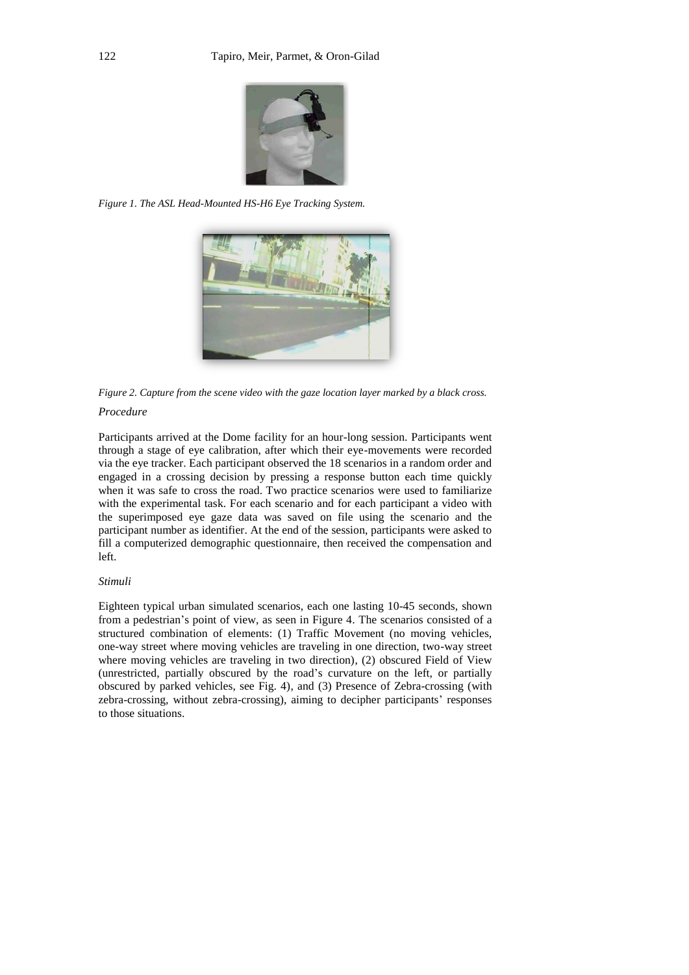

*Figure 1. The ASL Head-Mounted HS-H6 Eye Tracking System.*



*Figure 2. Capture from the scene video with the gaze location layer marked by a black cross.*

# *Procedure*

Participants arrived at the Dome facility for an hour-long session. Participants went through a stage of eye calibration, after which their eye-movements were recorded via the eye tracker. Each participant observed the 18 scenarios in a random order and engaged in a crossing decision by pressing a response button each time quickly when it was safe to cross the road. Two practice scenarios were used to familiarize with the experimental task. For each scenario and for each participant a video with the superimposed eye gaze data was saved on file using the scenario and the participant number as identifier. At the end of the session, participants were asked to fill a computerized demographic questionnaire, then received the compensation and left.

## *Stimuli*

Eighteen typical urban simulated scenarios, each one lasting 10-45 seconds, shown from a pedestrian's point of view, as seen in Figure 4. The scenarios consisted of a structured combination of elements: (1) Traffic Movement (no moving vehicles, one-way street where moving vehicles are traveling in one direction, two-way street where moving vehicles are traveling in two direction), (2) obscured Field of View (unrestricted, partially obscured by the road's curvature on the left, or partially obscured by parked vehicles, see Fig. 4), and (3) Presence of Zebra-crossing (with zebra-crossing, without zebra-crossing), aiming to decipher participants' responses to those situations.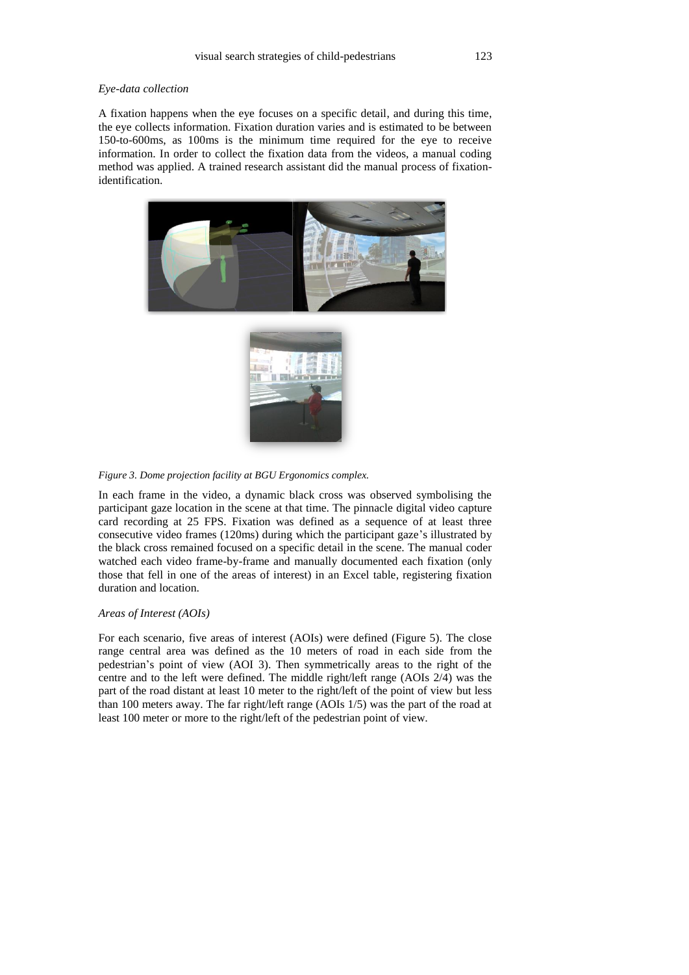#### *Eye-data collection*

A fixation happens when the eye focuses on a specific detail, and during this time, the eye collects information. Fixation duration varies and is estimated to be between 150-to-600ms, as 100ms is the minimum time required for the eye to receive information. In order to collect the fixation data from the videos, a manual coding method was applied. A trained research assistant did the manual process of fixationidentification.





*Figure 3. Dome projection facility at BGU Ergonomics complex.*

In each frame in the video, a dynamic black cross was observed symbolising the participant gaze location in the scene at that time. The pinnacle digital video capture card recording at 25 FPS. Fixation was defined as a sequence of at least three consecutive video frames (120ms) during which the participant gaze's illustrated by the black cross remained focused on a specific detail in the scene. The manual coder watched each video frame-by-frame and manually documented each fixation (only those that fell in one of the areas of interest) in an Excel table, registering fixation duration and location.

### *Areas of Interest (AOIs)*

For each scenario, five areas of interest (AOIs) were defined (Figure 5). The close range central area was defined as the 10 meters of road in each side from the pedestrian's point of view (AOI 3). Then symmetrically areas to the right of the centre and to the left were defined. The middle right/left range (AOIs 2/4) was the part of the road distant at least 10 meter to the right/left of the point of view but less than 100 meters away. The far right/left range (AOIs 1/5) was the part of the road at least 100 meter or more to the right/left of the pedestrian point of view.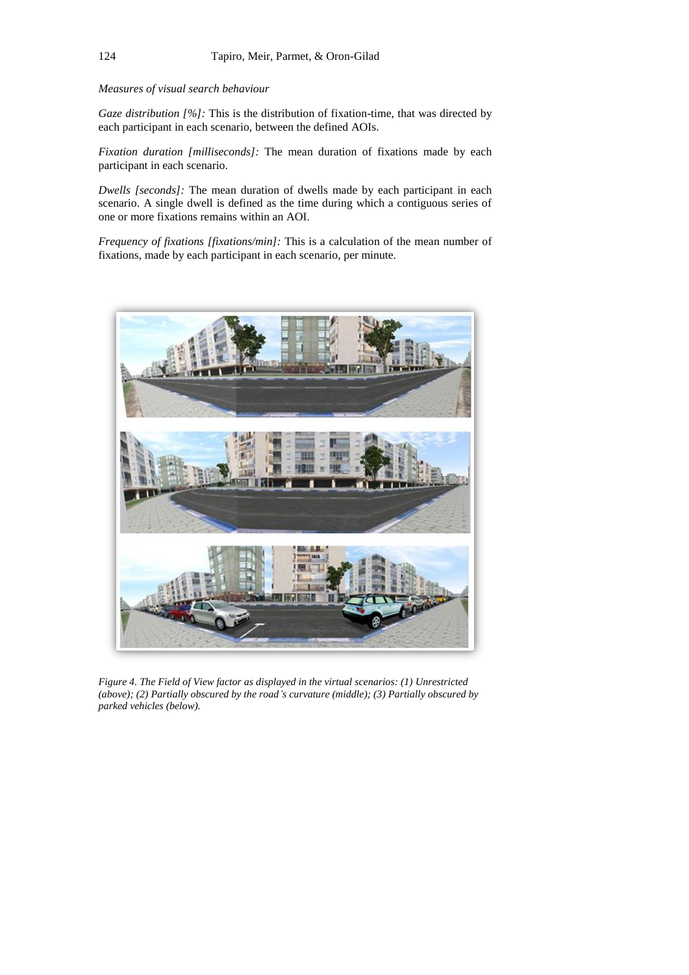# *Measures of visual search behaviour*

*Gaze distribution [%]:* This is the distribution of fixation-time, that was directed by each participant in each scenario, between the defined AOIs.

*Fixation duration [milliseconds]:* The mean duration of fixations made by each participant in each scenario.

*Dwells [seconds]:* The mean duration of dwells made by each participant in each scenario. A single dwell is defined as the time during which a contiguous series of one or more fixations remains within an AOI.

*Frequency of fixations [fixations/min]:* This is a calculation of the mean number of fixations, made by each participant in each scenario, per minute.



*Figure 4. The Field of View factor as displayed in the virtual scenarios: (1) Unrestricted (above); (2) Partially obscured by the road's curvature (middle); (3) Partially obscured by parked vehicles (below).*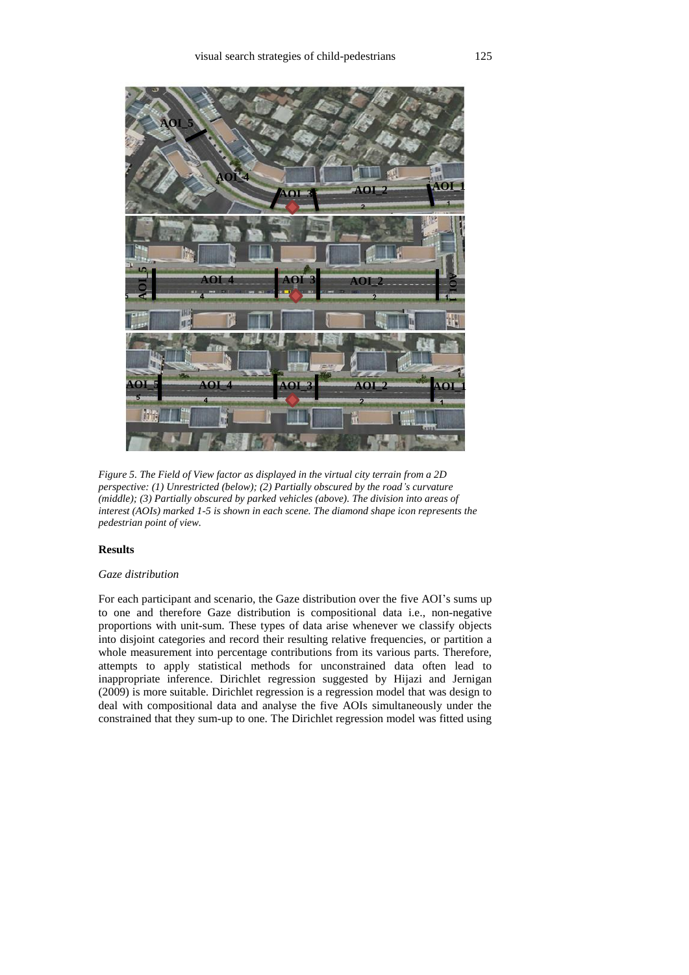

*Figure 5. The Field of View factor as displayed in the virtual city terrain from a 2D perspective: (1) Unrestricted (below); (2) Partially obscured by the road's curvature (middle); (3) Partially obscured by parked vehicles (above). The division into areas of interest (AOIs) marked 1-5 is shown in each scene. The diamond shape icon represents the pedestrian point of view.*

# **Results**

### *Gaze distribution*

For each participant and scenario, the Gaze distribution over the five AOI's sums up to one and therefore Gaze distribution is compositional data i.e., non-negative proportions with unit-sum. These types of data arise whenever we classify objects into disjoint categories and record their resulting relative frequencies, or partition a whole measurement into percentage contributions from its various parts. Therefore, attempts to apply statistical methods for unconstrained data often lead to inappropriate inference. Dirichlet regression suggested by Hijazi and Jernigan (2009) is more suitable. Dirichlet regression is a regression model that was design to deal with compositional data and analyse the five AOIs simultaneously under the constrained that they sum-up to one. The Dirichlet regression model was fitted using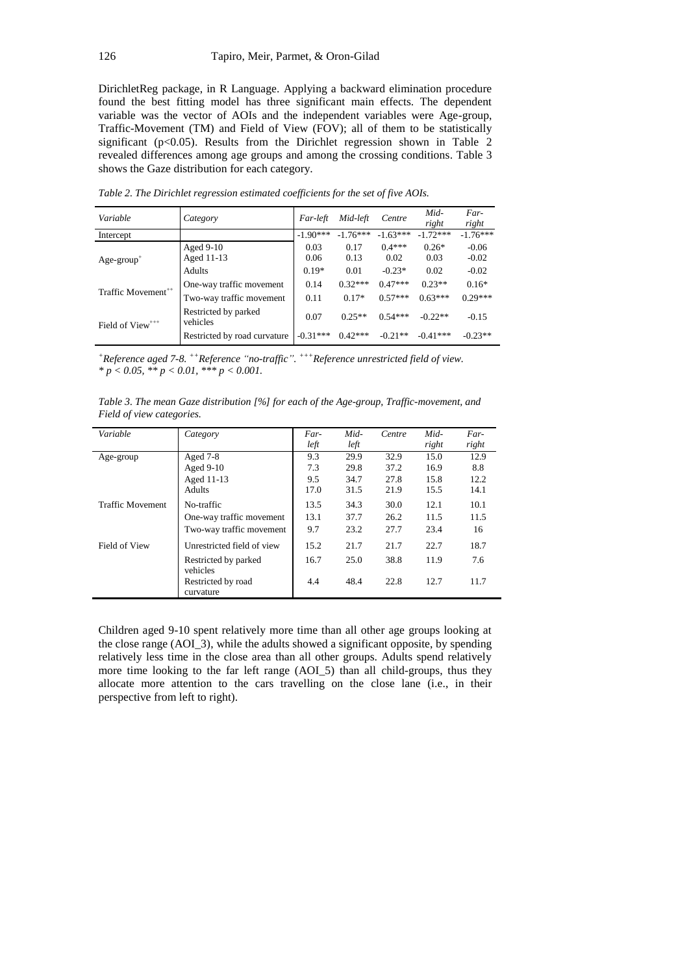DirichletReg package, in R Language. Applying a backward elimination procedure found the best fitting model has three significant main effects. The dependent variable was the vector of AOIs and the independent variables were Age-group, Traffic-Movement (TM) and Field of View (FOV); all of them to be statistically significant ( $p<0.05$ ). Results from the Dirichlet regression shown in Table 2 revealed differences among age groups and among the crossing conditions. Table 3 shows the Gaze distribution for each category.

| Variable                       | Category                                             | Far-left     | Mid-left          | Centre                | Mid-<br>right    | Far-<br>right        |
|--------------------------------|------------------------------------------------------|--------------|-------------------|-----------------------|------------------|----------------------|
| Intercept                      |                                                      | $-1.90***$   | $-1.76***$        | $-1.63***$            | $-1.72***$       | $-1.76***$           |
| $Age-group^+$                  | Aged $9-10$<br>Aged 11-13                            | 0.03<br>0.06 | 0.17<br>0.13      | $0.4***$<br>0.02      | $0.26*$<br>0.03  | $-0.06$<br>$-0.02$   |
|                                | Adults                                               | $0.19*$      | 0.01<br>$0.32***$ | $-0.23*$<br>$0.47***$ | 0.02<br>$0.23**$ | $-0.02$              |
| Traffic Movement <sup>++</sup> | One-way traffic movement<br>Two-way traffic movement | 0.14<br>0.11 | $0.17*$           | $0.57***$             | $0.63***$        | $0.16*$<br>$0.29***$ |
| Field of View <sup>+++</sup>   | Restricted by parked<br>vehicles                     | 0.07         | $0.25**$          | $0.54***$             | $-0.22**$        | $-0.15$              |
|                                | Restricted by road curvature                         | $-0.31***$   | $0.42***$         | $-0.21**$             | $-0.41***$       | $-0.23**$            |

*Table 2. The Dirichlet regression estimated coefficients for the set of five AOIs.*

*<sup>+</sup>Reference aged 7-8. ++Reference "no-traffic". +++Reference unrestricted field of view. \* p < 0.05, \*\* p < 0.01, \*\*\* p < 0.001.*

*Table 3. The mean Gaze distribution [%] for each of the Age-group, Traffic-movement, and Field of view categories.* 

| Variable                | Category                         | Far- | Mid- | Centre | Mid-  | Far-  |
|-------------------------|----------------------------------|------|------|--------|-------|-------|
|                         |                                  | left | left |        | right | right |
| Age-group               | Aged $7-8$                       | 9.3  | 29.9 | 32.9   | 15.0  | 12.9  |
|                         | Aged $9-10$                      | 7.3  | 29.8 | 37.2   | 16.9  | 8.8   |
|                         | Aged 11-13                       | 9.5  | 34.7 | 27.8   | 15.8  | 12.2  |
|                         | Adults                           | 17.0 | 31.5 | 21.9   | 15.5  | 14.1  |
| <b>Traffic Movement</b> | No-traffic                       | 13.5 | 34.3 | 30.0   | 12.1  | 10.1  |
|                         | One-way traffic movement         | 13.1 | 37.7 | 26.2   | 11.5  | 11.5  |
|                         | Two-way traffic movement         | 9.7  | 23.2 | 27.7   | 23.4  | 16    |
| Field of View           | Unrestricted field of view       | 15.2 | 21.7 | 21.7   | 22.7  | 18.7  |
|                         | Restricted by parked<br>vehicles | 16.7 | 25.0 | 38.8   | 11.9  | 7.6   |
|                         | Restricted by road<br>curvature  | 4.4  | 48.4 | 22.8   | 12.7  | 11.7  |

Children aged 9-10 spent relatively more time than all other age groups looking at the close range (AOI\_3), while the adults showed a significant opposite, by spending relatively less time in the close area than all other groups. Adults spend relatively more time looking to the far left range (AOI\_5) than all child-groups, thus they allocate more attention to the cars travelling on the close lane (i.e., in their perspective from left to right).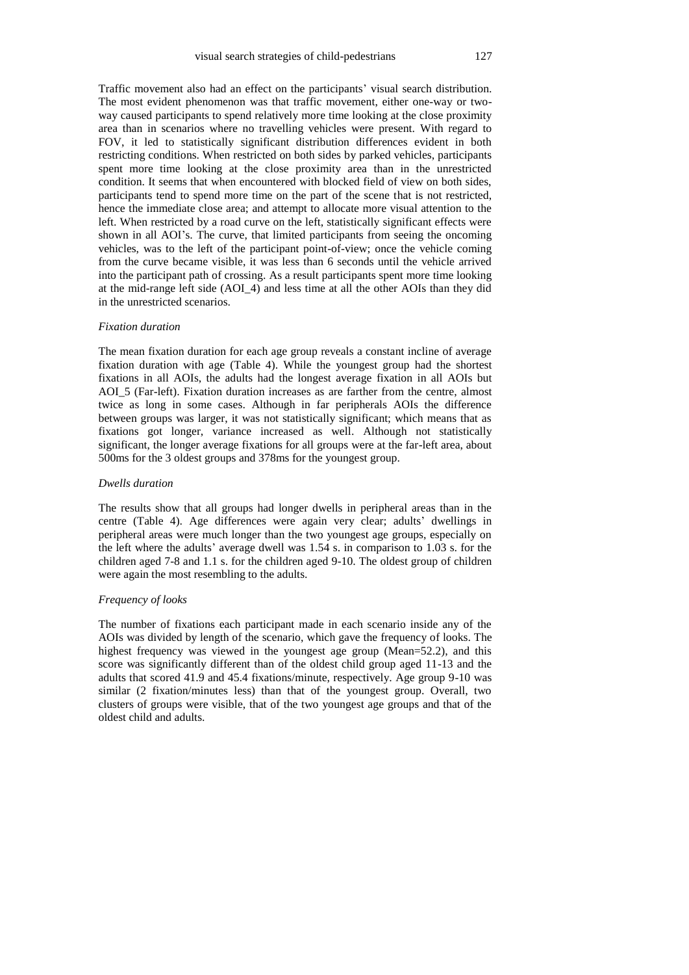Traffic movement also had an effect on the participants' visual search distribution. The most evident phenomenon was that traffic movement, either one-way or twoway caused participants to spend relatively more time looking at the close proximity area than in scenarios where no travelling vehicles were present. With regard to FOV, it led to statistically significant distribution differences evident in both restricting conditions. When restricted on both sides by parked vehicles, participants spent more time looking at the close proximity area than in the unrestricted condition. It seems that when encountered with blocked field of view on both sides, participants tend to spend more time on the part of the scene that is not restricted, hence the immediate close area; and attempt to allocate more visual attention to the left. When restricted by a road curve on the left, statistically significant effects were shown in all AOI's. The curve, that limited participants from seeing the oncoming vehicles, was to the left of the participant point-of-view; once the vehicle coming from the curve became visible, it was less than 6 seconds until the vehicle arrived into the participant path of crossing. As a result participants spent more time looking at the mid-range left side (AOI\_4) and less time at all the other AOIs than they did in the unrestricted scenarios.

### *Fixation duration*

The mean fixation duration for each age group reveals a constant incline of average fixation duration with age (Table 4). While the youngest group had the shortest fixations in all AOIs, the adults had the longest average fixation in all AOIs but AOI\_5 (Far-left). Fixation duration increases as are farther from the centre, almost twice as long in some cases. Although in far peripherals AOIs the difference between groups was larger, it was not statistically significant; which means that as fixations got longer, variance increased as well. Although not statistically significant, the longer average fixations for all groups were at the far-left area, about 500ms for the 3 oldest groups and 378ms for the youngest group.

#### *Dwells duration*

The results show that all groups had longer dwells in peripheral areas than in the centre (Table 4). Age differences were again very clear; adults' dwellings in peripheral areas were much longer than the two youngest age groups, especially on the left where the adults' average dwell was 1.54 s. in comparison to 1.03 s. for the children aged 7-8 and 1.1 s. for the children aged 9-10. The oldest group of children were again the most resembling to the adults.

### *Frequency of looks*

The number of fixations each participant made in each scenario inside any of the AOIs was divided by length of the scenario, which gave the frequency of looks. The highest frequency was viewed in the youngest age group (Mean=52.2), and this score was significantly different than of the oldest child group aged 11-13 and the adults that scored 41.9 and 45.4 fixations/minute, respectively. Age group 9-10 was similar (2 fixation/minutes less) than that of the youngest group. Overall, two clusters of groups were visible, that of the two youngest age groups and that of the oldest child and adults.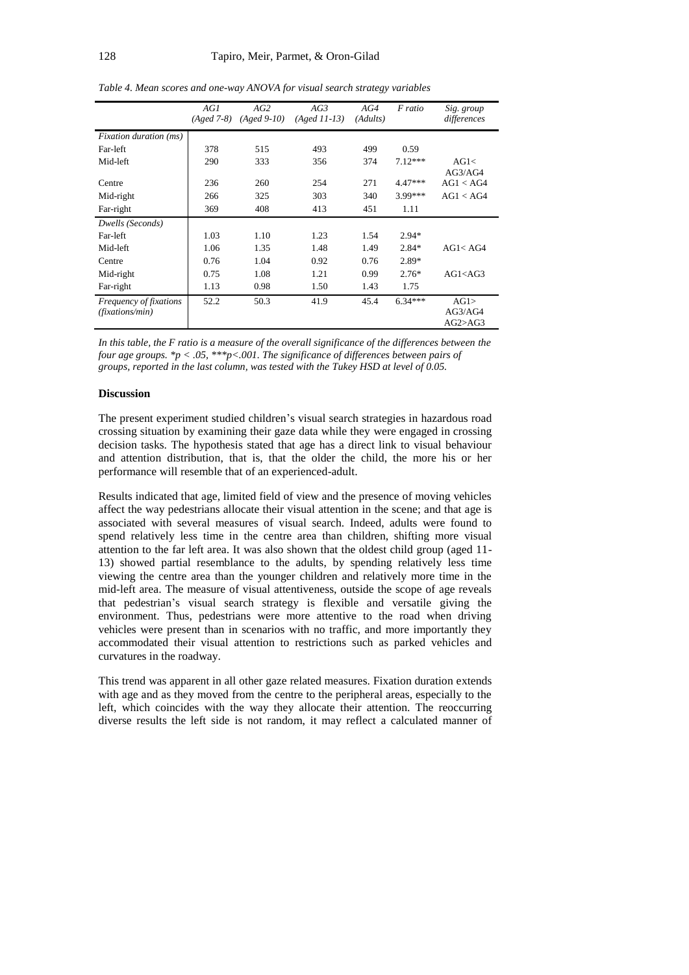|                                           | AGI<br>$(Aged 7-8)$ | AG2<br>$(A \text{ged } 9 - 10)$ | AG3<br>$(Aged 11-13)$ | AG4<br>(Adults) | F ratio   | Sig. group<br>differences  |
|-------------------------------------------|---------------------|---------------------------------|-----------------------|-----------------|-----------|----------------------------|
| <i>Fixation duration (ms)</i>             |                     |                                 |                       |                 |           |                            |
| Far-left                                  | 378                 | 515                             | 493                   | 499             | 0.59      |                            |
| Mid-left                                  | 290                 | 333                             | 356                   | 374             | $7.12***$ | AG1<<br>AG3/AG4            |
| Centre                                    | 236                 | 260                             | 254                   | 271             | $4.47***$ | AG1 < AG4                  |
| Mid-right                                 | 266                 | 325                             | 303                   | 340             | 3.99***   | AG1 < AG4                  |
| Far-right                                 | 369                 | 408                             | 413                   | 451             | 1.11      |                            |
| Dwells (Seconds)                          |                     |                                 |                       |                 |           |                            |
| Far-left                                  | 1.03                | 1.10                            | 1.23                  | 1.54            | $2.94*$   |                            |
| Mid-left                                  | 1.06                | 1.35                            | 1.48                  | 1.49            | $2.84*$   | AG1 < AG4                  |
| Centre                                    | 0.76                | 1.04                            | 0.92                  | 0.76            | 2.89*     |                            |
| Mid-right                                 | 0.75                | 1.08                            | 1.21                  | 0.99            | $2.76*$   | AG1 < AG3                  |
| Far-right                                 | 1.13                | 0.98                            | 1.50                  | 1.43            | 1.75      |                            |
| Frequency of fixations<br>(fixations/min) | 52.2                | 50.3                            | 41.9                  | 45.4            | $6.34***$ | AG1><br>AG3/AG4<br>AG2>AG3 |

*Table 4. Mean scores and one-way ANOVA for visual search strategy variables*

*In this table, the F ratio is a measure of the overall significance of the differences between the four age groups. \*p < .05, \*\*\*p<.001. The significance of differences between pairs of groups, reported in the last column, was tested with the Tukey HSD at level of 0.05.*

#### **Discussion**

The present experiment studied children's visual search strategies in hazardous road crossing situation by examining their gaze data while they were engaged in crossing decision tasks. The hypothesis stated that age has a direct link to visual behaviour and attention distribution, that is, that the older the child, the more his or her performance will resemble that of an experienced-adult.

Results indicated that age, limited field of view and the presence of moving vehicles affect the way pedestrians allocate their visual attention in the scene; and that age is associated with several measures of visual search. Indeed, adults were found to spend relatively less time in the centre area than children, shifting more visual attention to the far left area. It was also shown that the oldest child group (aged 11- 13) showed partial resemblance to the adults, by spending relatively less time viewing the centre area than the younger children and relatively more time in the mid-left area. The measure of visual attentiveness, outside the scope of age reveals that pedestrian's visual search strategy is flexible and versatile giving the environment. Thus, pedestrians were more attentive to the road when driving vehicles were present than in scenarios with no traffic, and more importantly they accommodated their visual attention to restrictions such as parked vehicles and curvatures in the roadway.

This trend was apparent in all other gaze related measures. Fixation duration extends with age and as they moved from the centre to the peripheral areas, especially to the left, which coincides with the way they allocate their attention. The reoccurring diverse results the left side is not random, it may reflect a calculated manner of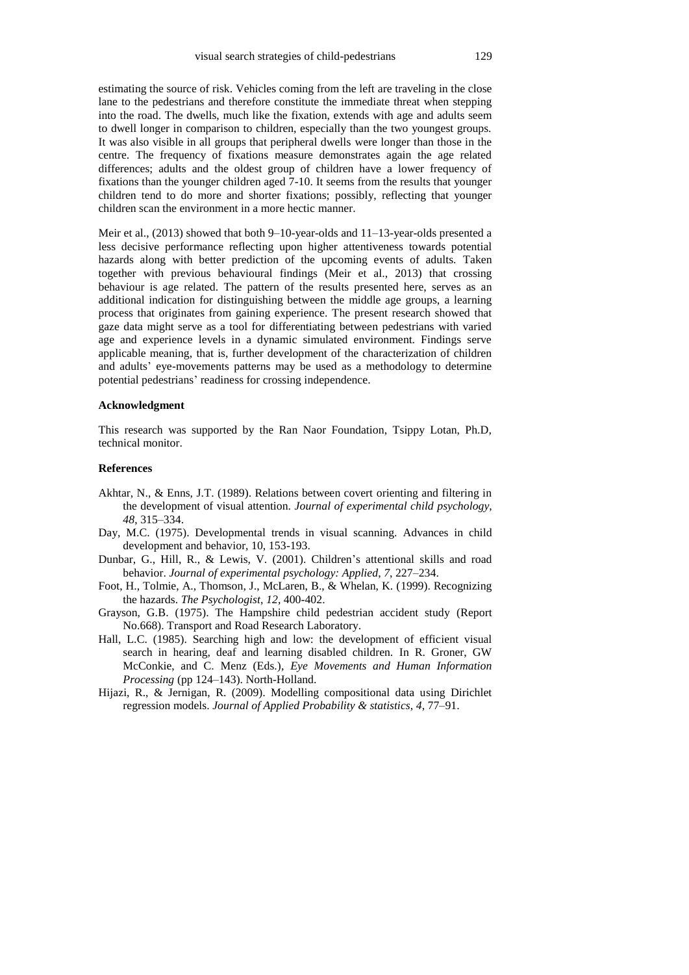estimating the source of risk. Vehicles coming from the left are traveling in the close lane to the pedestrians and therefore constitute the immediate threat when stepping into the road. The dwells, much like the fixation, extends with age and adults seem to dwell longer in comparison to children, especially than the two youngest groups. It was also visible in all groups that peripheral dwells were longer than those in the centre. The frequency of fixations measure demonstrates again the age related differences; adults and the oldest group of children have a lower frequency of fixations than the younger children aged 7-10. It seems from the results that younger children tend to do more and shorter fixations; possibly, reflecting that younger children scan the environment in a more hectic manner.

Meir et al., (2013) showed that both 9–10-year-olds and 11–13-year-olds presented a less decisive performance reflecting upon higher attentiveness towards potential hazards along with better prediction of the upcoming events of adults. Taken together with previous behavioural findings (Meir et al., 2013) that crossing behaviour is age related. The pattern of the results presented here, serves as an additional indication for distinguishing between the middle age groups, a learning process that originates from gaining experience. The present research showed that gaze data might serve as a tool for differentiating between pedestrians with varied age and experience levels in a dynamic simulated environment. Findings serve applicable meaning, that is, further development of the characterization of children and adults' eye-movements patterns may be used as a methodology to determine potential pedestrians' readiness for crossing independence.

#### **Acknowledgment**

This research was supported by the Ran Naor Foundation, Tsippy Lotan, Ph.D, technical monitor.

### **References**

- Akhtar, N., & Enns, J.T. (1989). Relations between covert orienting and filtering in the development of visual attention. *Journal of experimental child psychology*, *48*, 315–334.
- Day, M.C. (1975). Developmental trends in visual scanning. Advances in child development and behavior, 10, 153-193.
- Dunbar, G., Hill, R., & Lewis, V. (2001). Children's attentional skills and road behavior. *Journal of experimental psychology: Applied*, *7*, 227–234.
- Foot, H., Tolmie, A., Thomson, J., McLaren, B., & Whelan, K. (1999). Recognizing the hazards. *The Psychologist*, *12*, 400-402.
- Grayson, G.B. (1975). The Hampshire child pedestrian accident study (Report No.668). Transport and Road Research Laboratory.
- Hall, L.C. (1985). Searching high and low: the development of efficient visual search in hearing, deaf and learning disabled children. In R. Groner, GW McConkie, and C. Menz (Eds.)*, Eye Movements and Human Information Processing* (pp 124–143). North-Holland.
- Hijazi, R., & Jernigan, R. (2009). Modelling compositional data using Dirichlet regression models. *Journal of Applied Probability & statistics*, *4*, 77–91.